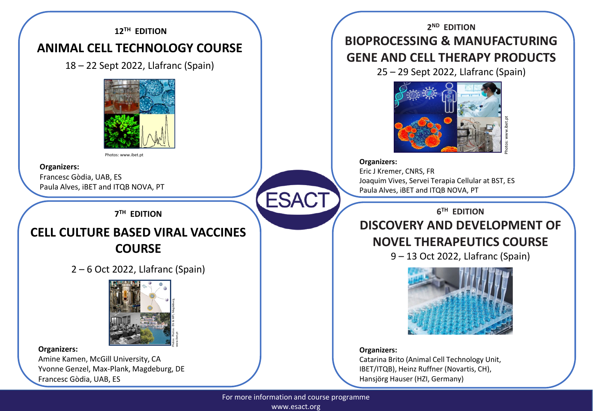### **12TH EDITION**

## **ANIMAL CELL TECHNOLOGY COURSE**

18 – 22 Sept 2022, Llafranc (Spain)



Photos: www.ibet.pt

### **Organizers:**

Francesc Gòdia, UAB, ES Paula Alves, iBET and ITQB NOVA, PT

**7 TH EDITION**

## **CELL CULTURE BASED VIRAL VACCINES COURSE**

2 – 6 Oct 2022, Llafranc (Spain)



### **Organizers:**

Amine Kamen, McGill University, CA Yvonne Genzel, Max-Plank, Magdeburg, DE Francesc Gòdia, UAB, ES

**2 ND EDITION BIOPROCESSING & MANUFACTURING GENE AND CELL THERAPY PRODUCTS**

25 – 29 Sept 2022, Llafranc (Spain)



### **Organizers:**

Eric J Kremer, CNRS, FR Joaquim Vives, Servei Terapia Cellular at BST, ES Paula Alves, iBET and ITQB NOVA, PT

**6 TH EDITION**

# **DISCOVERY AND DEVELOPMENT OF NOVEL THERAPEUTICS COURSE**

9 – 13 Oct 2022, Llafranc (Spain)



### **Organizers:**

Catarina Brito (Animal Cell Technology Unit, IBET/ITQB), Heinz Ruffner (Novartis, CH), Hansjörg Hauser (HZI, Germany)

For more information and course programme www.esact.org

**ESACT**